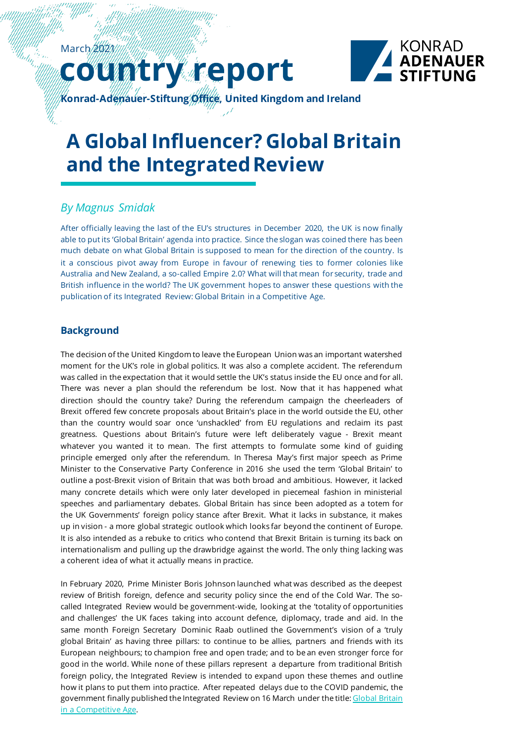# untry report



**Konrad-Adenauer-Stiftung Office, United Kingdom and Ireland**

# **A Global Influencer? Global Britain and the Integrated Review**

## *By Magnus Smidak*

After officially leaving the last of the EU's structures in December 2020, the UK is now finally able to put its 'Global Britain' agenda into practice. Since the slogan was coined there has been much debate on what Global Britain is supposed to mean for the direction of the country. Is it a conscious pivot away from Europe in favour of renewing ties to former colonies like Australia and New Zealand, a so-called Empire 2.0? What will that mean for security, trade and British influence in the world? The UK government hopes to answer these questions with the publication of its Integrated Review: Global Britain in a Competitive Age.

### **Background**

The decision of the United Kingdom to leave the European Union was an important watershed moment for the UK's role in global politics. It was also a complete accident. The referendum was called in the expectation that it would settle the UK's status inside the EU once and for all. There was never a plan should the referendum be lost. Now that it has happened what direction should the country take? During the referendum campaign the cheerleaders of Brexit offered few concrete proposals about Britain's place in the world outside the EU, other than the country would soar once 'unshackled' from EU regulations and reclaim its past greatness. Questions about Britain's future were left deliberately vague - Brexit meant whatever you wanted it to mean. The first attempts to formulate some kind of guiding principle emerged only after the referendum. In Theresa May's first major speech as Prime Minister to the Conservative Party Conference in 2016 she used the term 'Global Britain' to outline a post-Brexit vision of Britain that was both broad and ambitious. However, it lacked many concrete details which were only later developed in piecemeal fashion in ministerial speeches and parliamentary debates. Global Britain has since been adopted as a totem for the UK Governments' foreign policy stance after Brexit. What it lacks in substance, it makes up in vision - a more global strategic outlook which looks far beyond the continent of Europe. It is also intended as a rebuke to critics who contend that Brexit Britain is turning its back on internationalism and pulling up the drawbridge against the world. The only thing lacking was a coherent idea of what it actually means in practice.

In February 2020, Prime Minister Boris Johnson launched what was described as the deepest review of British foreign, defence and security policy since the end of the Cold War. The socalled Integrated Review would be government-wide, looking at the 'totality of opportunities and challenges' the UK faces taking into account defence, diplomacy, trade and aid. In the same month Foreign Secretary Dominic Raab outlined the Government's vision of a 'truly global Britain' as having three pillars: to continue to be allies, partners and friends with its European neighbours; to champion free and open trade; and to be an even stronger force for good in the world. While none of these pillars represent a departure from traditional British foreign policy, the Integrated Review is intended to expand upon these themes and outline how it plans to put them into practice. After repeated delays due to the COVID pandemic, the government finally published the Integrated Review on 16 March under the title: Global Britain [in a Competitive Age.](https://assets.publishing.service.gov.uk/government/uploads/system/uploads/attachment_data/file/969402/The_Integrated_Review_of_Security__Defence__Development_and_Foreign_Policy.pdf)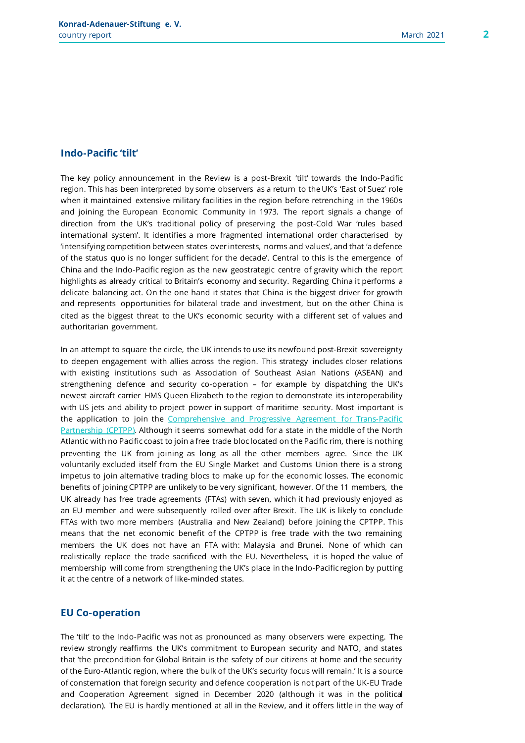#### **Indo-Pacific 'tilt'**

The key policy announcement in the Review is a post-Brexit 'tilt' towards the Indo-Pacific region. This has been interpreted by some observers as a return to the UK's 'East of Suez' role when it maintained extensive military facilities in the region before retrenching in the 1960s and joining the European Economic Community in 1973. The report signals a change of direction from the UK's traditional policy of preserving the post-Cold War 'rules based international system'. It identifies a more fragmented international order characterised by 'intensifying competition between states over interests, norms and values', and that 'a defence of the status quo is no longer sufficient for the decade'. Central to this is the emergence of China and the Indo-Pacific region as the new geostrategic centre of gravity which the report highlights as already critical to Britain's economy and security. Regarding China it performs a delicate balancing act. On the one hand it states that China is the biggest driver for growth and represents opportunities for bilateral trade and investment, but on the other China is cited as the biggest threat to the UK's economic security with a different set of values and authoritarian government.

In an attempt to square the circle, the UK intends to use its newfound post-Brexit sovereignty to deepen engagement with allies across the region. This strategy includes closer relations with existing institutions such as Association of Southeast Asian Nations (ASEAN) and strengthening defence and security co-operation – for example by dispatching the UK's newest aircraft carrier HMS Queen Elizabeth to the region to demonstrate its interoperability with US jets and ability to project power in support of maritime security. Most important is the application to join the [Comprehensive and Progressive Agreement for Trans-Pacific](https://commonslibrary.parliament.uk/research-briefings/cbp-9121/)  [Partnership \(CPTPP\).](https://commonslibrary.parliament.uk/research-briefings/cbp-9121/) Although it seems somewhat odd for a state in the middle of the North Atlantic with no Pacific coast to join a free trade bloc located on the Pacific rim, there is nothing preventing the UK from joining as long as all the other members agree. Since the UK voluntarily excluded itself from the EU Single Market and Customs Union there is a strong impetus to join alternative trading blocs to make up for the economic losses. The economic benefits of joining CPTPP are unlikely to be very significant, however. Of the 11 members, the UK already has free trade agreements (FTAs) with seven, which it had previously enjoyed as an EU member and were subsequently rolled over after Brexit. The UK is likely to conclude FTAs with two more members (Australia and New Zealand) before joining the CPTPP. This means that the net economic benefit of the CPTPP is free trade with the two remaining members the UK does not have an FTA with: Malaysia and Brunei. None of which can realistically replace the trade sacrificed with the EU. Nevertheless, it is hoped the value of membership will come from strengthening the UK's place in the Indo-Pacific region by putting it at the centre of a network of like-minded states.

#### **EU Co-operation**

The 'tilt' to the Indo-Pacific was not as pronounced as many observers were expecting. The review strongly reaffirms the UK's commitment to European security and NATO, and states that 'the precondition for Global Britain is the safety of our citizens at home and the security of the Euro-Atlantic region, where the bulk of the UK's security focus will remain.' It is a source of consternation that foreign security and defence cooperation is not part of the UK-EU Trade and Cooperation Agreement signed in December 2020 (although it was in the political declaration). The EU is hardly mentioned at all in the Review, and it offers little in the way of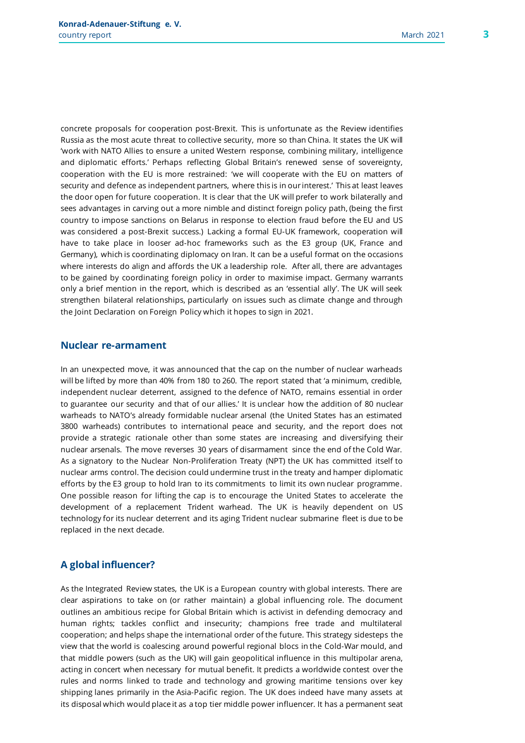concrete proposals for cooperation post-Brexit. This is unfortunate as the Review identifies Russia as the most acute threat to collective security, more so than China. It states the UK will 'work with NATO Allies to ensure a united Western response, combining military, intelligence and diplomatic efforts.' Perhaps reflecting Global Britain's renewed sense of sovereignty, cooperation with the EU is more restrained: 'we will cooperate with the EU on matters of security and defence as independent partners, where this is in our interest.' This at least leaves the door open for future cooperation. It is clear that the UK will prefer to work bilaterally and sees advantages in carving out a more nimble and distinct foreign policy path, (being the first country to impose sanctions on Belarus in response to election fraud before the EU and US was considered a post-Brexit success.) Lacking a formal EU-UK framework, cooperation will have to take place in looser ad-hoc frameworks such as the E3 group (UK, France and Germany), which is coordinating diplomacy on Iran. It can be a useful format on the occasions where interests do align and affords the UK a leadership role. After all, there are advantages to be gained by coordinating foreign policy in order to maximise impact. Germany warrants only a brief mention in the report, which is described as an 'essential ally'. The UK will seek

strengthen bilateral relationships, particularly on issues such as climate change and through

the Joint Declaration on Foreign Policy which it hopes to sign in 2021.

#### **Nuclear re-armament**

In an unexpected move, it was announced that the cap on the number of nuclear warheads will be lifted by more than 40% from 180 to 260. The report stated that 'a minimum, credible, independent nuclear deterrent, assigned to the defence of NATO, remains essential in order to guarantee our security and that of our allies.' It is unclear how the addition of 80 nuclear warheads to NATO's already formidable nuclear arsenal (the United States has an estimated 3800 warheads) contributes to international peace and security, and the report does not provide a strategic rationale other than some states are increasing and diversifying their nuclear arsenals. The move reverses 30 years of disarmament since the end of the Cold War. As a signatory to the Nuclear Non-Proliferation Treaty (NPT) the UK has committed itself to nuclear arms control. The decision could undermine trust in the treaty and hamper diplomatic efforts by the E3 group to hold Iran to its commitments to limit its own nuclear programme. One possible reason for lifting the cap is to encourage the United States to accelerate the development of a replacement Trident warhead. The UK is heavily dependent on US technology for its nuclear deterrent and its aging Trident nuclear submarine fleet is due to be replaced in the next decade.

#### **A global influencer?**

As the Integrated Review states, the UK is a European country with global interests. There are clear aspirations to take on (or rather maintain) a global influencing role. The document outlines an ambitious recipe for Global Britain which is activist in defending democracy and human rights; tackles conflict and insecurity; champions free trade and multilateral cooperation; and helps shape the international order of the future. This strategy sidesteps the view that the world is coalescing around powerful regional blocs in the Cold-War mould, and that middle powers (such as the UK) will gain geopolitical influence in this multipolar arena, acting in concert when necessary for mutual benefit. It predicts a worldwide contest over the rules and norms linked to trade and technology and growing maritime tensions over key shipping lanes primarily in the Asia-Pacific region. The UK does indeed have many assets at its disposal which would place it as a top tier middle power influencer. It has a permanent seat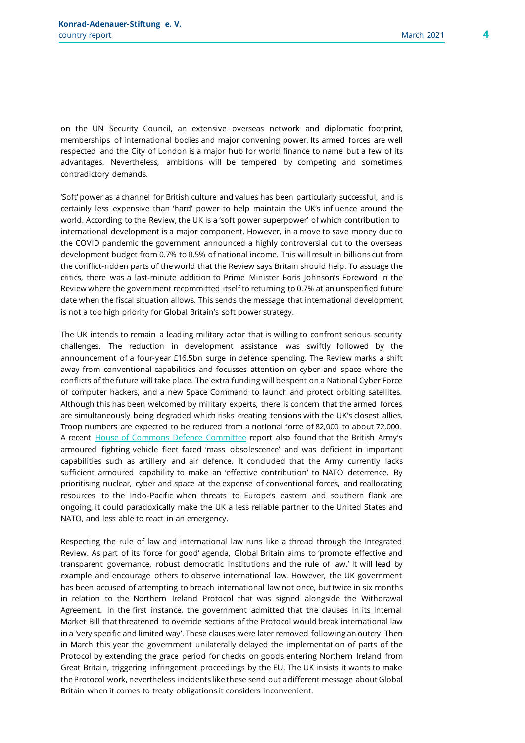on the UN Security Council, an extensive overseas network and diplomatic footprint, memberships of international bodies and major convening power. Its armed forces are well respected and the City of London is a major hub for world finance to name but a few of its advantages. Nevertheless, ambitions will be tempered by competing and sometimes contradictory demands.

'Soft' power as a channel for British culture and values has been particularly successful, and is certainly less expensive than 'hard' power to help maintain the UK's influence around the world. According to the Review, the UK is a 'soft power superpower' of which contribution to international development is a major component. However, in a move to save money due to the COVID pandemic the government announced a highly controversial cut to the overseas development budget from 0.7% to 0.5% of national income. This will result in billions cut from the conflict-ridden parts of the world that the Review says Britain should help. To assuage the critics, there was a last-minute addition to Prime Minister Boris Johnson's Foreword in the Review where the government recommitted itself to returning to 0.7% at an unspecified future date when the fiscal situation allows. This sends the message that international development is not a too high priority for Global Britain's soft power strategy.

The UK intends to remain a leading military actor that is willing to confront serious security challenges. The reduction in development assistance was swiftly followed by the announcement of a four-year £16.5bn surge in defence spending. The Review marks a shift away from conventional capabilities and focusses attention on cyber and space where the conflicts of the future will take place. The extra funding will be spent on a National Cyber Force of computer hackers, and a new Space Command to launch and protect orbiting satellites. Although this has been welcomed by military experts, there is concern that the armed forces are simultaneously being degraded which risks creating tensions with the UK's closest allies. Troop numbers are expected to be reduced from a notional force of 82,000 to about 72,000. A recent [House of Commons Defence Committee](https://committees.parliament.uk/publications/5081/documents/50325/default/) report also found that the British Army's armoured fighting vehicle fleet faced 'mass obsolescence' and was deficient in important capabilities such as artillery and air defence. It concluded that the Army currently lacks sufficient armoured capability to make an 'effective contribution' to NATO deterrence. By prioritising nuclear, cyber and space at the expense of conventional forces, and reallocating resources to the Indo-Pacific when threats to Europe's eastern and southern flank are ongoing, it could paradoxically make the UK a less reliable partner to the United States and NATO, and less able to react in an emergency.

Respecting the rule of law and international law runs like a thread through the Integrated Review. As part of its 'force for good' agenda, Global Britain aims to 'promote effective and transparent governance, robust democratic institutions and the rule of law.' It will lead by example and encourage others to observe international law. However, the UK government has been accused of attempting to breach international law not once, but twice in six months in relation to the Northern Ireland Protocol that was signed alongside the Withdrawal Agreement. In the first instance, the government admitted that the clauses in its Internal Market Bill that threatened to override sections of the Protocol would break international law in a 'very specific and limited way'. These clauses were later removed following an outcry. Then in March this year the government unilaterally delayed the implementation of parts of the Protocol by extending the grace period for checks on goods entering Northern Ireland from Great Britain, triggering infringement proceedings by the EU. The UK insists it wants to make the Protocol work, nevertheless incidents like these send out a different message about Global Britain when it comes to treaty obligations it considers inconvenient.